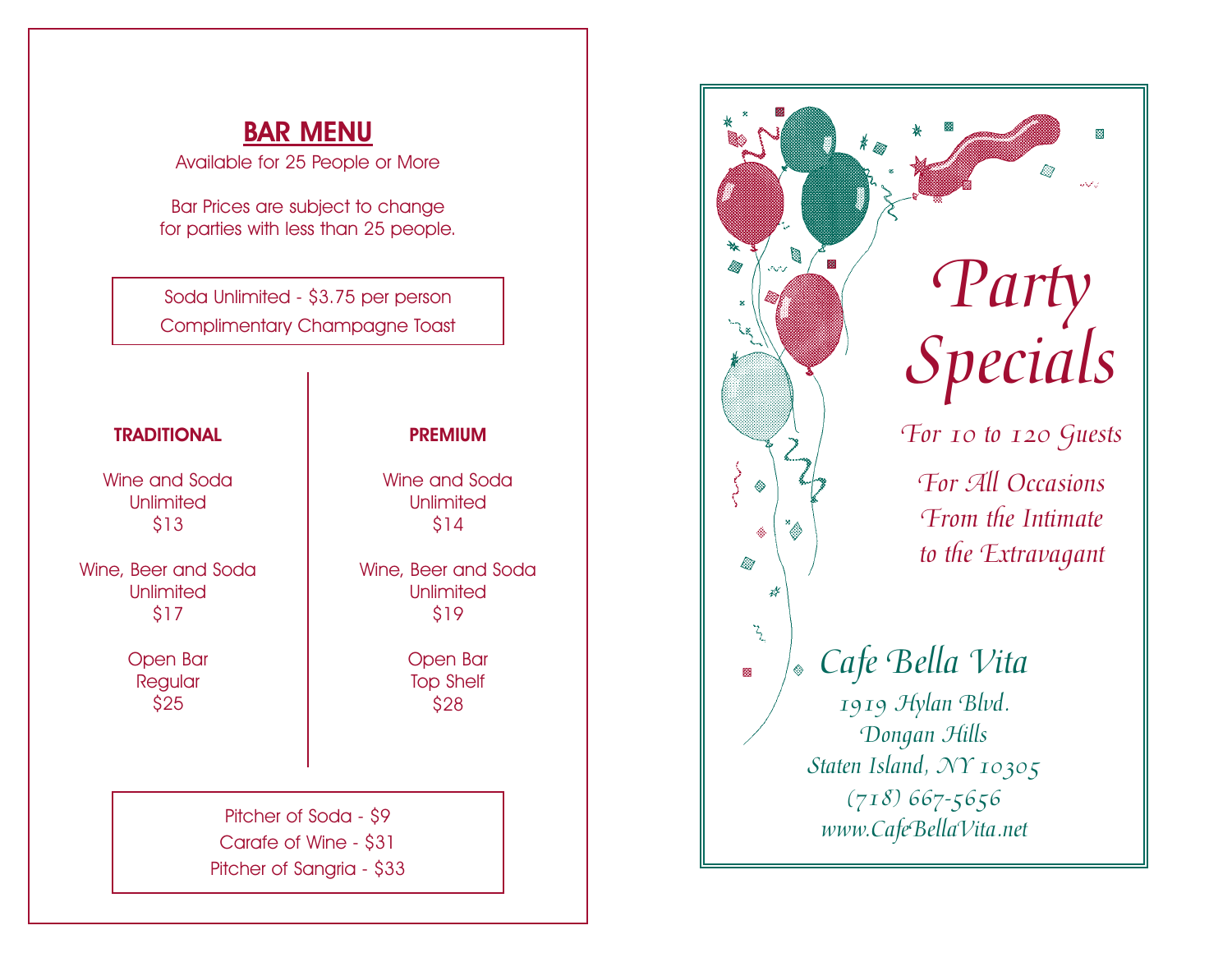## BAR MENU

Available for 25 People or More

Bar Prices are subject to change for parties with less than 25 people.

Soda Unlimited - \$3.75 per person Complimentary Champagne Toast

#### Pitcher of Soda - \$9 Carafe of Wine - \$31 Pitcher of Sangria - \$33 **TRADITIONAL** Wine and Soda Unlimited \$13 Wine, Beer and Soda Unlimited \$17 Open Bar **Regular** \$25 PREMIUM Wine and Soda Unlimited \$14 Wine, Beer and Soda Unlimited \$19 Open Bar Top Shelf \$28

# 圝 Ø *Party* lia. 68 *Specials*  e de la construcción de la construcción de la construcción de la construcción de la construcción de la construcción de la construcción de la construcción de la construcción de la construcción de la construcción de la const *For 10 to 120 Guests For All Occasions From the Intimate to the Extravagant* Ø  $\mathcal{F}_{\mathcal{L}_{\mathcal{L}}}$ *Cafe Bella Vita*  圝 *1919 Hylan Blvd. Dongan Hills Staten Island, NY 10305 (718) 667-5656 www.CafeBellaVita.net*